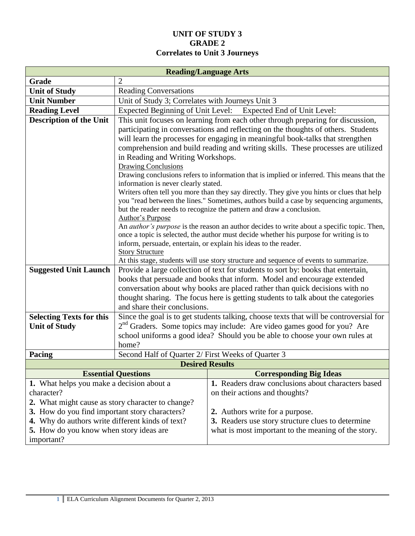#### **UNIT OF STUDY 3 GRADE 2 Correlates to Unit 3 Journeys**

|                                                   |                                                                                       | <b>Reading/Language Arts</b>                                                                                                                                                                |  |  |
|---------------------------------------------------|---------------------------------------------------------------------------------------|---------------------------------------------------------------------------------------------------------------------------------------------------------------------------------------------|--|--|
| Grade                                             | $\overline{2}$                                                                        |                                                                                                                                                                                             |  |  |
| <b>Unit of Study</b>                              | <b>Reading Conversations</b>                                                          |                                                                                                                                                                                             |  |  |
| <b>Unit Number</b>                                | Unit of Study 3; Correlates with Journeys Unit 3                                      |                                                                                                                                                                                             |  |  |
| <b>Reading Level</b>                              | <b>Expected Beginning of Unit Level:</b><br>Expected End of Unit Level:               |                                                                                                                                                                                             |  |  |
| <b>Description of the Unit</b>                    | This unit focuses on learning from each other through preparing for discussion,       |                                                                                                                                                                                             |  |  |
|                                                   | participating in conversations and reflecting on the thoughts of others. Students     |                                                                                                                                                                                             |  |  |
|                                                   |                                                                                       | will learn the processes for engaging in meaningful book-talks that strengthen                                                                                                              |  |  |
|                                                   | comprehension and build reading and writing skills. These processes are utilized      |                                                                                                                                                                                             |  |  |
|                                                   | in Reading and Writing Workshops.                                                     |                                                                                                                                                                                             |  |  |
|                                                   | <b>Drawing Conclusions</b>                                                            | Drawing conclusions refers to information that is implied or inferred. This means that the                                                                                                  |  |  |
|                                                   | information is never clearly stated.                                                  |                                                                                                                                                                                             |  |  |
|                                                   |                                                                                       | Writers often tell you more than they say directly. They give you hints or clues that help                                                                                                  |  |  |
|                                                   |                                                                                       | you "read between the lines." Sometimes, authors build a case by sequencing arguments,                                                                                                      |  |  |
|                                                   |                                                                                       | but the reader needs to recognize the pattern and draw a conclusion.                                                                                                                        |  |  |
|                                                   | Author's Purpose                                                                      |                                                                                                                                                                                             |  |  |
|                                                   |                                                                                       | An <i>author's purpose</i> is the reason an author decides to write about a specific topic. Then,<br>once a topic is selected, the author must decide whether his purpose for writing is to |  |  |
|                                                   |                                                                                       | inform, persuade, entertain, or explain his ideas to the reader.                                                                                                                            |  |  |
|                                                   | <b>Story Structure</b>                                                                |                                                                                                                                                                                             |  |  |
|                                                   | At this stage, students will use story structure and sequence of events to summarize. |                                                                                                                                                                                             |  |  |
| <b>Suggested Unit Launch</b>                      |                                                                                       | Provide a large collection of text for students to sort by: books that entertain,                                                                                                           |  |  |
|                                                   |                                                                                       | books that persuade and books that inform. Model and encourage extended                                                                                                                     |  |  |
|                                                   |                                                                                       | conversation about why books are placed rather than quick decisions with no                                                                                                                 |  |  |
|                                                   |                                                                                       | thought sharing. The focus here is getting students to talk about the categories                                                                                                            |  |  |
|                                                   | and share their conclusions.                                                          |                                                                                                                                                                                             |  |  |
| <b>Selecting Texts for this</b>                   |                                                                                       | Since the goal is to get students talking, choose texts that will be controversial for                                                                                                      |  |  |
| <b>Unit of Study</b>                              |                                                                                       | 2 <sup>nd</sup> Graders. Some topics may include: Are video games good for you? Are                                                                                                         |  |  |
|                                                   | home?                                                                                 | school uniforms a good idea? Should you be able to choose your own rules at                                                                                                                 |  |  |
| Pacing                                            | Second Half of Quarter 2/ First Weeks of Quarter 3                                    |                                                                                                                                                                                             |  |  |
|                                                   |                                                                                       | <b>Desired Results</b>                                                                                                                                                                      |  |  |
|                                                   | <b>Essential Questions</b>                                                            | <b>Corresponding Big Ideas</b>                                                                                                                                                              |  |  |
| 1. What helps you make a decision about a         |                                                                                       | 1. Readers draw conclusions about characters based                                                                                                                                          |  |  |
| character?                                        |                                                                                       | on their actions and thoughts?                                                                                                                                                              |  |  |
| 2. What might cause as story character to change? |                                                                                       |                                                                                                                                                                                             |  |  |
| 3. How do you find important story characters?    |                                                                                       | 2. Authors write for a purpose.                                                                                                                                                             |  |  |
| 4. Why do authors write different kinds of text?  |                                                                                       | 3. Readers use story structure clues to determine                                                                                                                                           |  |  |
| <b>5.</b> How do you know when story ideas are    |                                                                                       | what is most important to the meaning of the story.                                                                                                                                         |  |  |
| important?                                        |                                                                                       |                                                                                                                                                                                             |  |  |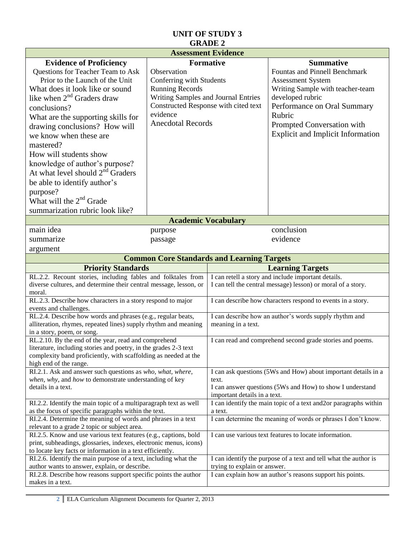|                                                                                                                  | <b>Assessment Evidence</b>                        |                                                                                           |                                                               |
|------------------------------------------------------------------------------------------------------------------|---------------------------------------------------|-------------------------------------------------------------------------------------------|---------------------------------------------------------------|
| <b>Evidence of Proficiency</b>                                                                                   | <b>Formative</b>                                  | <b>Summative</b>                                                                          |                                                               |
| Questions for Teacher Team to Ask                                                                                | Observation                                       |                                                                                           | <b>Fountas and Pinnell Benchmark</b>                          |
| Prior to the Launch of the Unit                                                                                  | Conferring with Students                          |                                                                                           | <b>Assessment System</b>                                      |
| What does it look like or sound                                                                                  | <b>Running Records</b>                            |                                                                                           | Writing Sample with teacher-team                              |
| like when $2nd$ Graders draw                                                                                     | Writing Samples and Journal Entries               |                                                                                           | developed rubric                                              |
| conclusions?                                                                                                     | Constructed Response with cited text              |                                                                                           | Performance on Oral Summary                                   |
| What are the supporting skills for                                                                               | evidence                                          |                                                                                           | Rubric                                                        |
| drawing conclusions? How will                                                                                    | <b>Anecdotal Records</b>                          |                                                                                           | Prompted Conversation with                                    |
| we know when these are                                                                                           |                                                   |                                                                                           | <b>Explicit and Implicit Information</b>                      |
| mastered?                                                                                                        |                                                   |                                                                                           |                                                               |
|                                                                                                                  |                                                   |                                                                                           |                                                               |
| How will students show                                                                                           |                                                   |                                                                                           |                                                               |
| knowledge of author's purpose?                                                                                   |                                                   |                                                                                           |                                                               |
| At what level should $2nd$ Graders                                                                               |                                                   |                                                                                           |                                                               |
| be able to identify author's                                                                                     |                                                   |                                                                                           |                                                               |
| purpose?                                                                                                         |                                                   |                                                                                           |                                                               |
| What will the $2nd$ Grade                                                                                        |                                                   |                                                                                           |                                                               |
| summarization rubric look like?                                                                                  |                                                   |                                                                                           |                                                               |
|                                                                                                                  | <b>Academic Vocabulary</b>                        |                                                                                           |                                                               |
| main idea                                                                                                        | purpose                                           |                                                                                           | conclusion                                                    |
| summarize                                                                                                        | passage                                           |                                                                                           | evidence                                                      |
| argument                                                                                                         |                                                   |                                                                                           |                                                               |
|                                                                                                                  | <b>Common Core Standards and Learning Targets</b> |                                                                                           |                                                               |
| <b>Priority Standards</b><br><b>Learning Targets</b>                                                             |                                                   |                                                                                           |                                                               |
| RL.2.2. Recount stories, including fables and folktales from                                                     |                                                   |                                                                                           | I can retell a story and include important details.           |
| diverse cultures, and determine their central message, lesson, or                                                |                                                   |                                                                                           | I can tell the central message) lesson) or moral of a story.  |
| moral.                                                                                                           |                                                   |                                                                                           |                                                               |
| RL.2.3. Describe how characters in a story respond to major                                                      |                                                   |                                                                                           | I can describe how characters respond to events in a story.   |
| events and challenges.<br>RL.2.4. Describe how words and phrases (e.g., regular beats,                           |                                                   |                                                                                           | I can describe how an author's words supply rhythm and        |
| alliteration, rhymes, repeated lines) supply rhythm and meaning                                                  |                                                   | meaning in a text.                                                                        |                                                               |
| in a story, poem, or song.                                                                                       |                                                   |                                                                                           |                                                               |
| RL.2.10. By the end of the year, read and comprehend                                                             |                                                   |                                                                                           | I can read and comprehend second grade stories and poems.     |
| literature, including stories and poetry, in the grades 2-3 text                                                 |                                                   |                                                                                           |                                                               |
| complexity band proficiently, with scaffolding as needed at the                                                  |                                                   |                                                                                           |                                                               |
| high end of the range.                                                                                           |                                                   |                                                                                           |                                                               |
| RI.2.1. Ask and answer such questions as who, what, where,                                                       |                                                   | I can ask questions (5Ws and How) about important details in a                            |                                                               |
| when, why, and how to demonstrate understanding of key<br>details in a text.                                     |                                                   | text.                                                                                     |                                                               |
|                                                                                                                  |                                                   | I can answer questions (5Ws and How) to show I understand<br>important details in a text. |                                                               |
| RI.2.2. Identify the main topic of a multiparagraph text as well                                                 |                                                   | I can identify the main topic of a text and 2or paragraphs within                         |                                                               |
| as the focus of specific paragraphs within the text.                                                             |                                                   | a text.                                                                                   |                                                               |
| RI.2.4. Determine the meaning of words and phrases in a text                                                     |                                                   |                                                                                           | I can determine the meaning of words or phrases I don't know. |
| relevant to a grade 2 topic or subject area.                                                                     |                                                   |                                                                                           |                                                               |
| RI.2.5. Know and use various text features (e.g., captions, bold                                                 |                                                   |                                                                                           | I can use various text features to locate information.        |
| print, subheadings, glossaries, indexes, electronic menus, icons)                                                |                                                   |                                                                                           |                                                               |
| to locate key facts or information in a text efficiently.                                                        |                                                   |                                                                                           |                                                               |
| RI.2.6. Identify the main purpose of a text, including what the<br>author wants to answer, explain, or describe. |                                                   | I can identify the purpose of a text and tell what the author is                          |                                                               |
| RI.2.8. Describe how reasons support specific points the author                                                  |                                                   | trying to explain or answer.<br>I can explain how an author's reasons support his points. |                                                               |
| makes in a text.                                                                                                 |                                                   |                                                                                           |                                                               |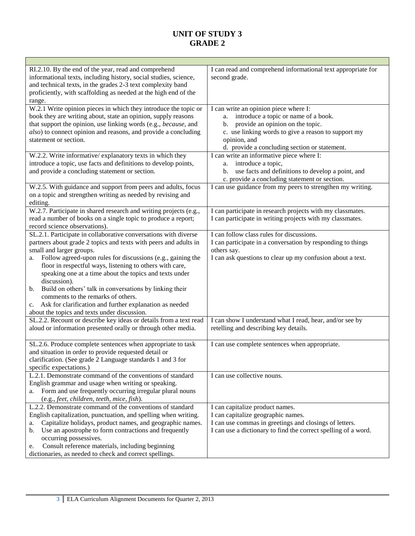| RI.2.10. By the end of the year, read and comprehend<br>informational texts, including history, social studies, science,<br>and technical texts, in the grades 2-3 text complexity band<br>proficiently, with scaffolding as needed at the high end of the<br>range. | I can read and comprehend informational text appropriate for<br>second grade. |
|----------------------------------------------------------------------------------------------------------------------------------------------------------------------------------------------------------------------------------------------------------------------|-------------------------------------------------------------------------------|
| W.2.1 Write opinion pieces in which they introduce the topic or                                                                                                                                                                                                      | I can write an opinion piece where I:                                         |
|                                                                                                                                                                                                                                                                      |                                                                               |
| book they are writing about, state an opinion, supply reasons                                                                                                                                                                                                        | introduce a topic or name of a book.<br>a.                                    |
| that support the opinion, use linking words (e.g., because, and                                                                                                                                                                                                      | provide an opinion on the topic.<br>b.                                        |
| also) to connect opinion and reasons, and provide a concluding                                                                                                                                                                                                       | c. use linking words to give a reason to support my                           |
| statement or section.                                                                                                                                                                                                                                                | opinion, and                                                                  |
|                                                                                                                                                                                                                                                                      | d. provide a concluding section or statement.                                 |
| W.2.2. Write informative/explanatory texts in which they                                                                                                                                                                                                             | I can write an informative piece where I:                                     |
| introduce a topic, use facts and definitions to develop points,                                                                                                                                                                                                      | introduce a topic,<br>a.                                                      |
| and provide a concluding statement or section.                                                                                                                                                                                                                       | use facts and definitions to develop a point, and<br>b.                       |
|                                                                                                                                                                                                                                                                      | c. provide a concluding statement or section.                                 |
| W.2.5. With guidance and support from peers and adults, focus                                                                                                                                                                                                        | I can use guidance from my peers to strengthen my writing.                    |
| on a topic and strengthen writing as needed by revising and                                                                                                                                                                                                          |                                                                               |
| editing.                                                                                                                                                                                                                                                             |                                                                               |
| W.2.7. Participate in shared research and writing projects (e.g.,                                                                                                                                                                                                    | I can participate in research projects with my classmates.                    |
|                                                                                                                                                                                                                                                                      |                                                                               |
| read a number of books on a single topic to produce a report;                                                                                                                                                                                                        | I can participate in writing projects with my classmates.                     |
| record science observations).                                                                                                                                                                                                                                        |                                                                               |
| SL.2.1. Participate in collaborative conversations with diverse                                                                                                                                                                                                      | I can follow class rules for discussions.                                     |
| partners about grade 2 topics and texts with peers and adults in                                                                                                                                                                                                     | I can participate in a conversation by responding to things                   |
| small and larger groups.                                                                                                                                                                                                                                             | others say.                                                                   |
| Follow agreed-upon rules for discussions (e.g., gaining the<br>a.                                                                                                                                                                                                    | I can ask questions to clear up my confusion about a text.                    |
| floor in respectful ways, listening to others with care,                                                                                                                                                                                                             |                                                                               |
| speaking one at a time about the topics and texts under                                                                                                                                                                                                              |                                                                               |
| discussion).                                                                                                                                                                                                                                                         |                                                                               |
| b. Build on others' talk in conversations by linking their                                                                                                                                                                                                           |                                                                               |
| comments to the remarks of others.                                                                                                                                                                                                                                   |                                                                               |
| Ask for clarification and further explanation as needed<br>c.                                                                                                                                                                                                        |                                                                               |
| about the topics and texts under discussion.                                                                                                                                                                                                                         |                                                                               |
| SL.2.2. Recount or describe key ideas or details from a text read                                                                                                                                                                                                    | I can show I understand what I read, hear, and/or see by                      |
| aloud or information presented orally or through other media.                                                                                                                                                                                                        | retelling and describing key details.                                         |
|                                                                                                                                                                                                                                                                      |                                                                               |
| SL.2.6. Produce complete sentences when appropriate to task                                                                                                                                                                                                          | I can use complete sentences when appropriate.                                |
| and situation in order to provide requested detail or                                                                                                                                                                                                                |                                                                               |
| clarification. (See grade 2 Language standards 1 and 3 for                                                                                                                                                                                                           |                                                                               |
| specific expectations.)                                                                                                                                                                                                                                              |                                                                               |
| L.2.1. Demonstrate command of the conventions of standard                                                                                                                                                                                                            | I can use collective nouns.                                                   |
| English grammar and usage when writing or speaking.                                                                                                                                                                                                                  |                                                                               |
|                                                                                                                                                                                                                                                                      |                                                                               |
| Form and use frequently occurring irregular plural nouns<br>a.                                                                                                                                                                                                       |                                                                               |
| (e.g., feet, children, teeth, mice, fish).                                                                                                                                                                                                                           |                                                                               |
| L.2.2. Demonstrate command of the conventions of standard                                                                                                                                                                                                            | I can capitalize product names.                                               |
| English capitalization, punctuation, and spelling when writing.                                                                                                                                                                                                      | I can capitalize geographic names.                                            |
| Capitalize holidays, product names, and geographic names.<br>a.                                                                                                                                                                                                      | I can use commas in greetings and closings of letters.                        |
| Use an apostrophe to form contractions and frequently<br>b.                                                                                                                                                                                                          | I can use a dictionary to find the correct spelling of a word.                |
| occurring possessives.                                                                                                                                                                                                                                               |                                                                               |
| Consult reference materials, including beginning<br>e.                                                                                                                                                                                                               |                                                                               |
| dictionaries, as needed to check and correct spellings.                                                                                                                                                                                                              |                                                                               |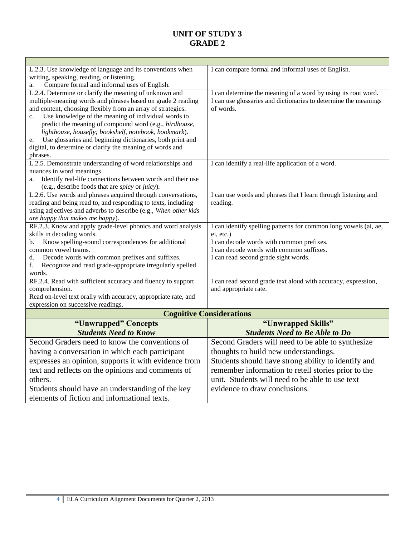| L.2.3. Use knowledge of language and its conventions when                                                             | I can compare formal and informal uses of English.                                                                               |
|-----------------------------------------------------------------------------------------------------------------------|----------------------------------------------------------------------------------------------------------------------------------|
| writing, speaking, reading, or listening.                                                                             |                                                                                                                                  |
| Compare formal and informal uses of English.                                                                          |                                                                                                                                  |
| L.2.4. Determine or clarify the meaning of unknown and<br>multiple-meaning words and phrases based on grade 2 reading | I can determine the meaning of a word by using its root word.<br>I can use glossaries and dictionaries to determine the meanings |
| and content, choosing flexibly from an array of strategies.                                                           | of words.                                                                                                                        |
| Use knowledge of the meaning of individual words to<br>c.                                                             |                                                                                                                                  |
| predict the meaning of compound word (e.g., birdhouse,                                                                |                                                                                                                                  |
| lighthouse, housefly; bookshelf, notebook, bookmark).                                                                 |                                                                                                                                  |
| Use glossaries and beginning dictionaries, both print and<br>e.                                                       |                                                                                                                                  |
| digital, to determine or clarify the meaning of words and                                                             |                                                                                                                                  |
| phrases.                                                                                                              |                                                                                                                                  |
| L.2.5. Demonstrate understanding of word relationships and                                                            | I can identify a real-life application of a word.                                                                                |
| nuances in word meanings.                                                                                             |                                                                                                                                  |
| Identify real-life connections between words and their use<br>a.                                                      |                                                                                                                                  |
| (e.g., describe foods that are spicy or juicy).<br>L.2.6. Use words and phrases acquired through conversations,       |                                                                                                                                  |
| reading and being read to, and responding to texts, including                                                         | I can use words and phrases that I learn through listening and<br>reading.                                                       |
| using adjectives and adverbs to describe (e.g., When other kids                                                       |                                                                                                                                  |
| are happy that makes me happy).                                                                                       |                                                                                                                                  |
| RF.2.3. Know and apply grade-level phonics and word analysis                                                          | I can identify spelling patterns for common long vowels (ai, ae,                                                                 |
| skills in decoding words.                                                                                             | ei, etc.)                                                                                                                        |
| Know spelling-sound correspondences for additional<br>b.                                                              | I can decode words with common prefixes.                                                                                         |
| common vowel teams.                                                                                                   | I can decode words with common suffixes.                                                                                         |
| Decode words with common prefixes and suffixes.<br>d.                                                                 | I can read second grade sight words.                                                                                             |
| Recognize and read grade-appropriate irregularly spelled<br>f.<br>words.                                              |                                                                                                                                  |
| RF.2.4. Read with sufficient accuracy and fluency to support                                                          | I can read second grade text aloud with accuracy, expression,                                                                    |
| comprehension.                                                                                                        | and appropriate rate.                                                                                                            |
| Read on-level text orally with accuracy, appropriate rate, and                                                        |                                                                                                                                  |
| expression on successive readings.                                                                                    |                                                                                                                                  |
|                                                                                                                       | <b>Cognitive Considerations</b>                                                                                                  |
| "Unwrapped" Concepts                                                                                                  | "Unwrapped Skills"                                                                                                               |
| <b>Students Need to Know</b>                                                                                          | <b>Students Need to Be Able to Do</b>                                                                                            |
| Second Graders need to know the conventions of                                                                        | Second Graders will need to be able to synthesize                                                                                |
| having a conversation in which each participant                                                                       | thoughts to build new understandings.                                                                                            |
| expresses an opinion, supports it with evidence from                                                                  | Students should have strong ability to identify and                                                                              |
| text and reflects on the opinions and comments of                                                                     | remember information to retell stories prior to the                                                                              |
| others.                                                                                                               | unit. Students will need to be able to use text                                                                                  |
| Students should have an understanding of the key                                                                      | evidence to draw conclusions.                                                                                                    |
| elements of fiction and informational texts.                                                                          |                                                                                                                                  |
|                                                                                                                       |                                                                                                                                  |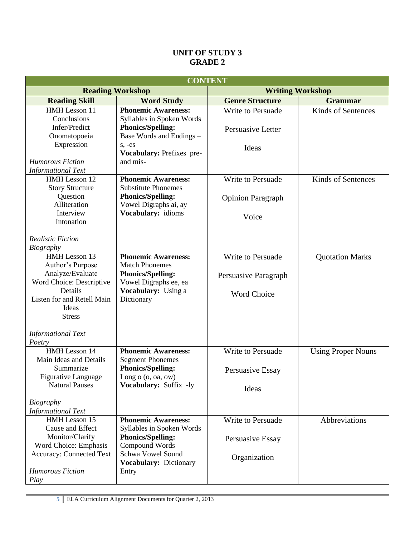| <b>CONTENT</b>                                                                                                                                                                              |                                                                                                                                                               |                                                                 |                           |  |
|---------------------------------------------------------------------------------------------------------------------------------------------------------------------------------------------|---------------------------------------------------------------------------------------------------------------------------------------------------------------|-----------------------------------------------------------------|---------------------------|--|
| <b>Reading Workshop</b><br><b>Writing Workshop</b>                                                                                                                                          |                                                                                                                                                               |                                                                 |                           |  |
| <b>Reading Skill</b>                                                                                                                                                                        | <b>Word Study</b>                                                                                                                                             | <b>Genre Structure</b>                                          | <b>Grammar</b>            |  |
| HMH Lesson 11<br>Conclusions<br>Infer/Predict<br>Onomatopoeia                                                                                                                               | <b>Phonemic Awareness:</b><br>Syllables in Spoken Words<br><b>Phonics/Spelling:</b><br>Base Words and Endings -                                               | Write to Persuade<br>Persuasive Letter                          | Kinds of Sentences        |  |
| Expression<br><b>Humorous Fiction</b><br><b>Informational Text</b>                                                                                                                          | $s, -es$<br>Vocabulary: Prefixes pre-<br>and mis-                                                                                                             | Ideas                                                           |                           |  |
| HMH Lesson 12<br><b>Story Structure</b><br>Question<br>Alliteration<br>Interview<br>Intonation<br><b>Realistic Fiction</b><br><b>Biography</b>                                              | <b>Phonemic Awareness:</b><br><b>Substitute Phonemes</b><br><b>Phonics/Spelling:</b><br>Vowel Digraphs ai, ay<br>Vocabulary: idioms                           | Write to Persuade<br><b>Opinion Paragraph</b><br>Voice          | Kinds of Sentences        |  |
| HMH Lesson 13<br>Author's Purpose<br>Analyze/Evaluate<br>Word Choice: Descriptive<br>Details<br>Listen for and Retell Main<br>Ideas<br><b>Stress</b><br><b>Informational Text</b><br>Poetry | <b>Phonemic Awareness:</b><br><b>Match Phonemes</b><br><b>Phonics/Spelling:</b><br>Vowel Digraphs ee, ea<br>Vocabulary: Using a<br>Dictionary                 | Write to Persuade<br>Persuasive Paragraph<br><b>Word Choice</b> | <b>Quotation Marks</b>    |  |
| HMH Lesson 14<br>Main Ideas and Details<br>Summarize<br>Figurative Language<br><b>Natural Pauses</b><br><b>Biography</b><br><b>Informational Text</b>                                       | <b>Phonemic Awareness:</b><br><b>Segment Phonemes</b><br><b>Phonics/Spelling:</b><br>Long $o$ $(o, oa, ow)$<br>Vocabulary: Suffix -ly                         | Write to Persuade<br>Persuasive Essay<br>Ideas                  | <b>Using Proper Nouns</b> |  |
| HMH Lesson 15<br>Cause and Effect<br>Monitor/Clarify<br>Word Choice: Emphasis<br><b>Accuracy: Connected Text</b><br><b>Humorous Fiction</b><br>Play                                         | <b>Phonemic Awareness:</b><br>Syllables in Spoken Words<br><b>Phonics/Spelling:</b><br>Compound Words<br>Schwa Vowel Sound<br>Vocabulary: Dictionary<br>Entry | Write to Persuade<br>Persuasive Essay<br>Organization           | Abbreviations             |  |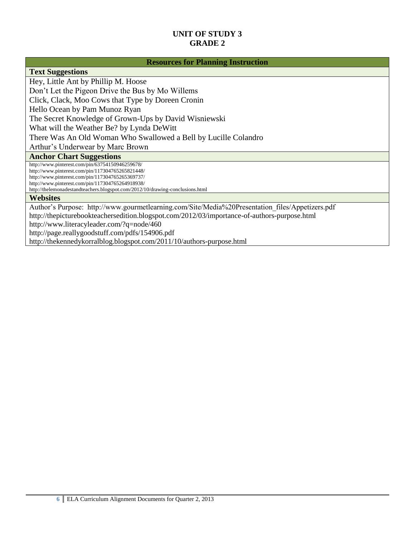#### **Resources for Planning Instruction**

#### **Text Suggestions**

Hey, Little Ant by Phillip M. Hoose Don't Let the Pigeon Drive the Bus by Mo Willems Click, Clack, Moo Cows that Type by Doreen Cronin Hello Ocean by Pam Munoz Ryan The Secret Knowledge of Grown-Ups by David Wisniewski What will the Weather Be? by Lynda DeWitt There Was An Old Woman Who Swallowed a Bell by Lucille Colandro Arthur's Underwear by Marc Brown **Anchor Chart Suggestions**

http://www.pinterest.com/pin/63754150946259678/ http://www.pinterest.com/pin/117304765265821448/ http://www.pinterest.com/pin/117304765265369737/ http://www.pinterest.com/pin/117304765264918938/ http://thelemonadestandteachers.blogspot.com/2012/10/drawing-conclusions.html

#### **Websites**

Author's Purpose: http://www.gourmetlearning.com/Site/Media%20Presentation files/Appetizers.pdf http://thepicturebookteachersedition.blogspot.com/2012/03/importance-of-authors-purpose.html <http://www.literacyleader.com/?q=node/460> <http://page.reallygoodstuff.com/pdfs/154906.pdf>

<http://thekennedykorralblog.blogspot.com/2011/10/authors-purpose.html>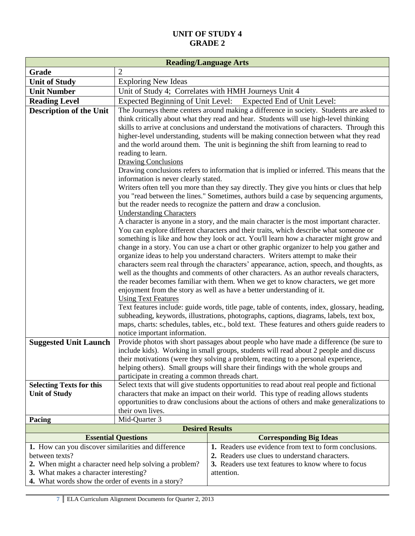| <b>Reading/Language Arts</b>                                          |                                                                                                                                                                                         |                                                                                                                                                                              |  |  |
|-----------------------------------------------------------------------|-----------------------------------------------------------------------------------------------------------------------------------------------------------------------------------------|------------------------------------------------------------------------------------------------------------------------------------------------------------------------------|--|--|
| Grade                                                                 | 2                                                                                                                                                                                       |                                                                                                                                                                              |  |  |
| <b>Unit of Study</b>                                                  | <b>Exploring New Ideas</b>                                                                                                                                                              |                                                                                                                                                                              |  |  |
| <b>Unit Number</b>                                                    | Unit of Study 4; Correlates with HMH Journeys Unit 4                                                                                                                                    |                                                                                                                                                                              |  |  |
| <b>Reading Level</b>                                                  | <b>Expected Beginning of Unit Level:</b><br>Expected End of Unit Level:                                                                                                                 |                                                                                                                                                                              |  |  |
| <b>Description of the Unit</b>                                        | The Journeys theme centers around making a difference in society. Students are asked to<br>think critically about what they read and hear. Students will use high-level thinking        |                                                                                                                                                                              |  |  |
|                                                                       |                                                                                                                                                                                         | skills to arrive at conclusions and understand the motivations of characters. Through this                                                                                   |  |  |
|                                                                       |                                                                                                                                                                                         | higher-level understanding, students will be making connection between what they read<br>and the world around them. The unit is beginning the shift from learning to read to |  |  |
|                                                                       | reading to learn.                                                                                                                                                                       |                                                                                                                                                                              |  |  |
|                                                                       | <b>Drawing Conclusions</b>                                                                                                                                                              |                                                                                                                                                                              |  |  |
|                                                                       | information is never clearly stated.                                                                                                                                                    | Drawing conclusions refers to information that is implied or inferred. This means that the                                                                                   |  |  |
|                                                                       |                                                                                                                                                                                         | Writers often tell you more than they say directly. They give you hints or clues that help                                                                                   |  |  |
|                                                                       |                                                                                                                                                                                         | you "read between the lines." Sometimes, authors build a case by sequencing arguments,                                                                                       |  |  |
|                                                                       | <b>Understanding Characters</b>                                                                                                                                                         | but the reader needs to recognize the pattern and draw a conclusion.                                                                                                         |  |  |
|                                                                       |                                                                                                                                                                                         | A character is anyone in a story, and the main character is the most important character.                                                                                    |  |  |
|                                                                       |                                                                                                                                                                                         | You can explore different characters and their traits, which describe what someone or                                                                                        |  |  |
|                                                                       |                                                                                                                                                                                         | something is like and how they look or act. You'll learn how a character might grow and                                                                                      |  |  |
|                                                                       |                                                                                                                                                                                         | change in a story. You can use a chart or other graphic organizer to help you gather and                                                                                     |  |  |
|                                                                       | organize ideas to help you understand characters. Writers attempt to make their                                                                                                         |                                                                                                                                                                              |  |  |
|                                                                       | characters seem real through the characters' appearance, action, speech, and thoughts, as<br>well as the thoughts and comments of other characters. As an author reveals characters,    |                                                                                                                                                                              |  |  |
|                                                                       | the reader becomes familiar with them. When we get to know characters, we get more                                                                                                      |                                                                                                                                                                              |  |  |
|                                                                       |                                                                                                                                                                                         | enjoyment from the story as well as have a better understanding of it.                                                                                                       |  |  |
|                                                                       | <b>Using Text Features</b>                                                                                                                                                              |                                                                                                                                                                              |  |  |
|                                                                       | Text features include: guide words, title page, table of contents, index, glossary, heading,<br>subheading, keywords, illustrations, photographs, captions, diagrams, labels, text box, |                                                                                                                                                                              |  |  |
|                                                                       | maps, charts: schedules, tables, etc., bold text. These features and others guide readers to                                                                                            |                                                                                                                                                                              |  |  |
|                                                                       | notice important information.                                                                                                                                                           |                                                                                                                                                                              |  |  |
| <b>Suggested Unit Launch</b>                                          | Provide photos with short passages about people who have made a difference (be sure to                                                                                                  |                                                                                                                                                                              |  |  |
|                                                                       |                                                                                                                                                                                         | include kids). Working in small groups, students will read about 2 people and discuss                                                                                        |  |  |
|                                                                       |                                                                                                                                                                                         | their motivations (were they solving a problem, reacting to a personal experience,                                                                                           |  |  |
|                                                                       |                                                                                                                                                                                         | helping others). Small groups will share their findings with the whole groups and                                                                                            |  |  |
| <b>Selecting Texts for this</b>                                       | participate in creating a common threads chart.<br>Select texts that will give students opportunities to read about real people and fictional                                           |                                                                                                                                                                              |  |  |
| <b>Unit of Study</b>                                                  |                                                                                                                                                                                         | characters that make an impact on their world. This type of reading allows students                                                                                          |  |  |
|                                                                       |                                                                                                                                                                                         | opportunities to draw conclusions about the actions of others and make generalizations to                                                                                    |  |  |
|                                                                       | their own lives.                                                                                                                                                                        |                                                                                                                                                                              |  |  |
| Pacing                                                                | Mid-Quarter 3                                                                                                                                                                           |                                                                                                                                                                              |  |  |
|                                                                       | <b>Desired Results</b>                                                                                                                                                                  |                                                                                                                                                                              |  |  |
|                                                                       | <b>Essential Questions</b>                                                                                                                                                              | <b>Corresponding Big Ideas</b>                                                                                                                                               |  |  |
| 1. How can you discover similarities and difference<br>between texts? |                                                                                                                                                                                         | 1. Readers use evidence from text to form conclusions.<br>2. Readers use clues to understand characters.                                                                     |  |  |
| 2. When might a character need help solving a problem?                |                                                                                                                                                                                         | 3. Readers use text features to know where to focus                                                                                                                          |  |  |
| 3. What makes a character interesting?                                |                                                                                                                                                                                         | attention.                                                                                                                                                                   |  |  |
| 4. What words show the order of events in a story?                    |                                                                                                                                                                                         |                                                                                                                                                                              |  |  |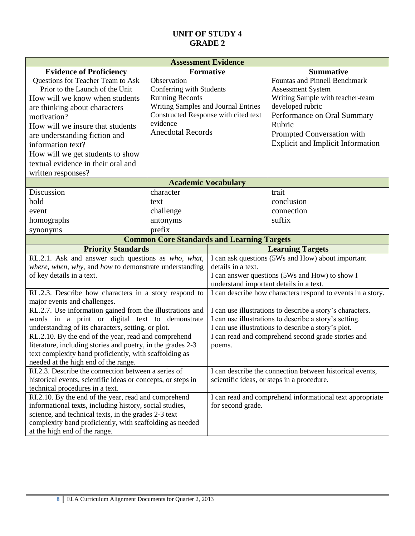| <b>Assessment Evidence</b>                                                                            |                                                   |                                                                                                                     |                                                             |  |
|-------------------------------------------------------------------------------------------------------|---------------------------------------------------|---------------------------------------------------------------------------------------------------------------------|-------------------------------------------------------------|--|
| <b>Evidence of Proficiency</b>                                                                        | <b>Formative</b>                                  |                                                                                                                     | <b>Summative</b>                                            |  |
| Questions for Teacher Team to Ask                                                                     | Observation                                       |                                                                                                                     | <b>Fountas and Pinnell Benchmark</b>                        |  |
| Prior to the Launch of the Unit                                                                       | Conferring with Students                          |                                                                                                                     | <b>Assessment System</b>                                    |  |
| How will we know when students                                                                        | <b>Running Records</b>                            |                                                                                                                     | Writing Sample with teacher-team                            |  |
| are thinking about characters                                                                         | Writing Samples and Journal Entries               |                                                                                                                     | developed rubric                                            |  |
| motivation?                                                                                           | Constructed Response with cited text<br>evidence  |                                                                                                                     | Performance on Oral Summary                                 |  |
| How will we insure that students                                                                      | <b>Anecdotal Records</b>                          |                                                                                                                     | Rubric                                                      |  |
| are understanding fiction and                                                                         |                                                   |                                                                                                                     | Prompted Conversation with                                  |  |
| information text?                                                                                     |                                                   |                                                                                                                     | <b>Explicit and Implicit Information</b>                    |  |
| How will we get students to show                                                                      |                                                   |                                                                                                                     |                                                             |  |
| textual evidence in their oral and                                                                    |                                                   |                                                                                                                     |                                                             |  |
| written responses?                                                                                    |                                                   |                                                                                                                     |                                                             |  |
|                                                                                                       | <b>Academic Vocabulary</b>                        |                                                                                                                     |                                                             |  |
| Discussion                                                                                            | character                                         |                                                                                                                     | trait                                                       |  |
| bold                                                                                                  | text                                              |                                                                                                                     | conclusion                                                  |  |
| event                                                                                                 | challenge                                         |                                                                                                                     | connection                                                  |  |
| homographs                                                                                            | antonyms                                          |                                                                                                                     | suffix                                                      |  |
| synonyms                                                                                              | prefix                                            |                                                                                                                     |                                                             |  |
|                                                                                                       | <b>Common Core Standards and Learning Targets</b> |                                                                                                                     |                                                             |  |
| <b>Priority Standards</b>                                                                             |                                                   | <b>Learning Targets</b>                                                                                             |                                                             |  |
| RL.2.1. Ask and answer such questions as who, what,                                                   |                                                   |                                                                                                                     | I can ask questions (5Ws and How) about important           |  |
| where, when, why, and how to demonstrate understanding                                                |                                                   | details in a text.                                                                                                  |                                                             |  |
| of key details in a text.                                                                             |                                                   | I can answer questions (5Ws and How) to show I                                                                      |                                                             |  |
|                                                                                                       |                                                   | understand important details in a text.                                                                             |                                                             |  |
| RL.2.3. Describe how characters in a story respond to                                                 |                                                   |                                                                                                                     | I can describe how characters respond to events in a story. |  |
| major events and challenges.                                                                          |                                                   |                                                                                                                     |                                                             |  |
| RL.2.7. Use information gained from the illustrations and                                             |                                                   | I can use illustrations to describe a story's characters.<br>I can use illustrations to describe a story's setting. |                                                             |  |
| words in a print or digital text to demonstrate<br>understanding of its characters, setting, or plot. |                                                   | I can use illustrations to describe a story's plot.                                                                 |                                                             |  |
| RL.2.10. By the end of the year, read and comprehend                                                  |                                                   | I can read and comprehend second grade stories and                                                                  |                                                             |  |
| literature, including stories and poetry, in the grades 2-3                                           |                                                   | poems.                                                                                                              |                                                             |  |
| text complexity band proficiently, with scaffolding as                                                |                                                   |                                                                                                                     |                                                             |  |
| needed at the high end of the range.                                                                  |                                                   |                                                                                                                     |                                                             |  |
| RI.2.3. Describe the connection between a series of                                                   |                                                   |                                                                                                                     | I can describe the connection between historical events,    |  |
| historical events, scientific ideas or concepts, or steps in                                          |                                                   |                                                                                                                     | scientific ideas, or steps in a procedure.                  |  |
| technical procedures in a text.                                                                       |                                                   |                                                                                                                     |                                                             |  |
| RI.2.10. By the end of the year, read and comprehend                                                  |                                                   | I can read and comprehend informational text appropriate                                                            |                                                             |  |
| informational texts, including history, social studies,                                               |                                                   | for second grade.                                                                                                   |                                                             |  |
| science, and technical texts, in the grades 2-3 text                                                  |                                                   |                                                                                                                     |                                                             |  |
| complexity band proficiently, with scaffolding as needed                                              |                                                   |                                                                                                                     |                                                             |  |
| at the high end of the range.                                                                         |                                                   |                                                                                                                     |                                                             |  |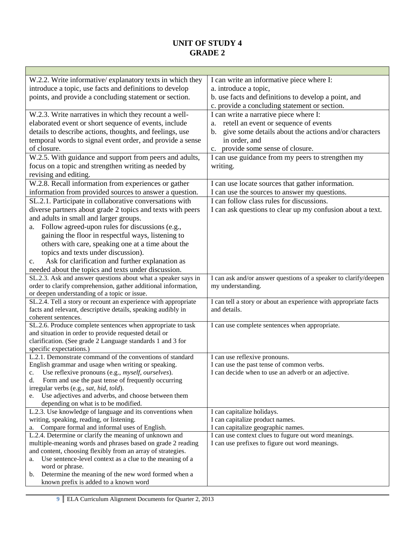| W.2.2. Write informative/explanatory texts in which they                                                       | I can write an informative piece where I:                               |  |  |
|----------------------------------------------------------------------------------------------------------------|-------------------------------------------------------------------------|--|--|
| introduce a topic, use facts and definitions to develop                                                        | a. introduce a topic,                                                   |  |  |
| points, and provide a concluding statement or section.                                                         | b. use facts and definitions to develop a point, and                    |  |  |
|                                                                                                                | c. provide a concluding statement or section.                           |  |  |
| W.2.3. Write narratives in which they recount a well-                                                          | I can write a narrative piece where I:                                  |  |  |
| elaborated event or short sequence of events, include                                                          | retell an event or sequence of events<br>a.                             |  |  |
| details to describe actions, thoughts, and feelings, use                                                       | give some details about the actions and/or characters<br>$\mathbf{b}$ . |  |  |
| temporal words to signal event order, and provide a sense                                                      | in order, and                                                           |  |  |
| of closure.                                                                                                    | provide some sense of closure.<br>c.                                    |  |  |
| W.2.5. With guidance and support from peers and adults,                                                        | I can use guidance from my peers to strengthen my                       |  |  |
| focus on a topic and strengthen writing as needed by                                                           | writing.                                                                |  |  |
| revising and editing.                                                                                          |                                                                         |  |  |
| W.2.8. Recall information from experiences or gather                                                           | I can use locate sources that gather information.                       |  |  |
| information from provided sources to answer a question.                                                        | I can use the sources to answer my questions.                           |  |  |
|                                                                                                                | I can follow class rules for discussions.                               |  |  |
| SL.2.1. Participate in collaborative conversations with                                                        |                                                                         |  |  |
| diverse partners about grade 2 topics and texts with peers                                                     | I can ask questions to clear up my confusion about a text.              |  |  |
| and adults in small and larger groups.                                                                         |                                                                         |  |  |
| Follow agreed-upon rules for discussions (e.g.,<br>a.                                                          |                                                                         |  |  |
| gaining the floor in respectful ways, listening to                                                             |                                                                         |  |  |
| others with care, speaking one at a time about the                                                             |                                                                         |  |  |
| topics and texts under discussion).                                                                            |                                                                         |  |  |
| Ask for clarification and further explanation as<br>$\mathbf{c}$ .                                             |                                                                         |  |  |
| needed about the topics and texts under discussion.                                                            |                                                                         |  |  |
| SL.2.3. Ask and answer questions about what a speaker says in                                                  | I can ask and/or answer questions of a speaker to clarify/deepen        |  |  |
| order to clarify comprehension, gather additional information,                                                 | my understanding.                                                       |  |  |
| or deepen understanding of a topic or issue.<br>SL.2.4. Tell a story or recount an experience with appropriate | I can tell a story or about an experience with appropriate facts        |  |  |
| facts and relevant, descriptive details, speaking audibly in                                                   | and details.                                                            |  |  |
| coherent sentences.                                                                                            |                                                                         |  |  |
| SL.2.6. Produce complete sentences when appropriate to task                                                    | I can use complete sentences when appropriate.                          |  |  |
| and situation in order to provide requested detail or                                                          |                                                                         |  |  |
| clarification. (See grade 2 Language standards 1 and 3 for                                                     |                                                                         |  |  |
| specific expectations.)                                                                                        |                                                                         |  |  |
| L.2.1. Demonstrate command of the conventions of standard                                                      | I can use reflexive pronouns.                                           |  |  |
| English grammar and usage when writing or speaking.                                                            | I can use the past tense of common verbs.                               |  |  |
| c. Use reflexive pronouns (e.g., <i>myself, ourselves</i> ).                                                   | I can decide when to use an adverb or an adjective.                     |  |  |
| Form and use the past tense of frequently occurring<br>d.                                                      |                                                                         |  |  |
| irregular verbs (e.g., sat, hid, told).                                                                        |                                                                         |  |  |
| e. Use adjectives and adverbs, and choose between them                                                         |                                                                         |  |  |
| depending on what is to be modified.                                                                           |                                                                         |  |  |
| L.2.3. Use knowledge of language and its conventions when<br>writing, speaking, reading, or listening.         | I can capitalize holidays.                                              |  |  |
| a. Compare formal and informal uses of English.                                                                | I can capitalize product names.<br>I can capitalize geographic names.   |  |  |
| L.2.4. Determine or clarify the meaning of unknown and                                                         | I can use context clues to fugure out word meanings.                    |  |  |
| multiple-meaning words and phrases based on grade 2 reading                                                    | I can use prefixes to figure out word meanings.                         |  |  |
| and content, choosing flexibly from an array of strategies.                                                    |                                                                         |  |  |
| Use sentence-level context as a clue to the meaning of a<br>a.                                                 |                                                                         |  |  |
| word or phrase.                                                                                                |                                                                         |  |  |
| Determine the meaning of the new word formed when a<br>b.                                                      |                                                                         |  |  |
| known prefix is added to a known word                                                                          |                                                                         |  |  |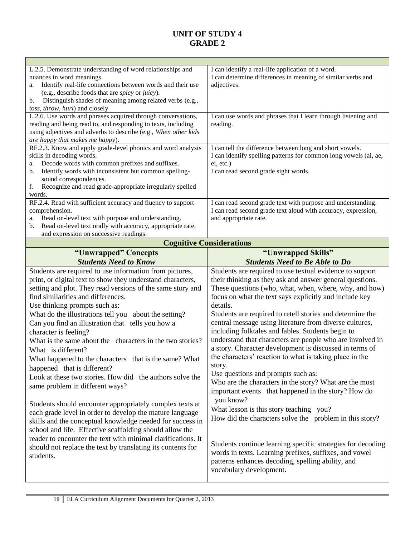| L.2.5. Demonstrate understanding of word relationships and                                                                   | I can identify a real-life application of a word.                |  |  |
|------------------------------------------------------------------------------------------------------------------------------|------------------------------------------------------------------|--|--|
| nuances in word meanings.                                                                                                    | I can determine differences in meaning of similar verbs and      |  |  |
| Identify real-life connections between words and their use<br>a.                                                             | adjectives.                                                      |  |  |
| (e.g., describe foods that are spicy or juicy).                                                                              |                                                                  |  |  |
| Distinguish shades of meaning among related verbs (e.g.,<br>b.                                                               |                                                                  |  |  |
| toss, throw, hurl) and closely<br>L.2.6. Use words and phrases acquired through conversations,                               | I can use words and phrases that I learn through listening and   |  |  |
| reading and being read to, and responding to texts, including                                                                | reading.                                                         |  |  |
| using adjectives and adverbs to describe (e.g., When other kids                                                              |                                                                  |  |  |
| are happy that makes me happy).                                                                                              |                                                                  |  |  |
| RF.2.3. Know and apply grade-level phonics and word analysis                                                                 | I can tell the difference between long and short vowels.         |  |  |
| skills in decoding words.                                                                                                    | I can identify spelling patterns for common long vowels (ai, ae, |  |  |
| Decode words with common prefixes and suffixes.<br>a.                                                                        | ei, etc.)                                                        |  |  |
| Identify words with inconsistent but common spelling-<br>b.                                                                  | I can read second grade sight words.                             |  |  |
| sound correspondences.                                                                                                       |                                                                  |  |  |
| Recognize and read grade-appropriate irregularly spelled<br>f.                                                               |                                                                  |  |  |
| words.                                                                                                                       |                                                                  |  |  |
| RF.2.4. Read with sufficient accuracy and fluency to support                                                                 | I can read second grade text with purpose and understanding.     |  |  |
| comprehension.                                                                                                               | I can read second grade text aloud with accuracy, expression,    |  |  |
| Read on-level text with purpose and understanding.<br>a.<br>Read on-level text orally with accuracy, appropriate rate,<br>b. | and appropriate rate.                                            |  |  |
| and expression on successive readings.                                                                                       |                                                                  |  |  |
| <b>Cognitive Considerations</b>                                                                                              |                                                                  |  |  |
| "Unwrapped" Concepts                                                                                                         | "Unwrapped Skills"                                               |  |  |
| <b>Students Need to Know</b>                                                                                                 | <b>Students Need to Be Able to Do</b>                            |  |  |
|                                                                                                                              |                                                                  |  |  |
|                                                                                                                              |                                                                  |  |  |
| Students are required to use information from pictures,                                                                      | Students are required to use textual evidence to support         |  |  |
| print, or digital text to show they understand characters,                                                                   | their thinking as they ask and answer general questions.         |  |  |
| setting and plot. They read versions of the same story and                                                                   | These questions (who, what, when, where, why, and how)           |  |  |
| find similarities and differences.                                                                                           | focus on what the text says explicitly and include key           |  |  |
| Use thinking prompts such as:                                                                                                | details.                                                         |  |  |
| What do the illustrations tell you about the setting?                                                                        | Students are required to retell stories and determine the        |  |  |
| Can you find an illustration that tells you how a                                                                            | central message using literature from diverse cultures,          |  |  |
| character is feeling?                                                                                                        | including folktales and fables. Students begin to                |  |  |
| What is the same about the characters in the two stories?                                                                    | understand that characters are people who are involved in        |  |  |
| What is different?                                                                                                           | a story. Character development is discussed in terms of          |  |  |
| What happened to the characters that is the same? What                                                                       | the characters' reaction to what is taking place in the          |  |  |
| happened that is different?                                                                                                  | story.                                                           |  |  |
| Look at these two stories. How did the authors solve the                                                                     | Use questions and prompts such as:                               |  |  |
| same problem in different ways?                                                                                              | Who are the characters in the story? What are the most           |  |  |
|                                                                                                                              | important events that happened in the story? How do              |  |  |
| Students should encounter appropriately complex texts at                                                                     | you know?                                                        |  |  |
| each grade level in order to develop the mature language                                                                     | What lesson is this story teaching you?                          |  |  |
| skills and the conceptual knowledge needed for success in                                                                    | How did the characters solve the problem in this story?          |  |  |
| school and life. Effective scaffolding should allow the                                                                      |                                                                  |  |  |
| reader to encounter the text with minimal clarifications. It                                                                 |                                                                  |  |  |
| should not replace the text by translating its contents for                                                                  | Students continue learning specific strategies for decoding      |  |  |
| students.                                                                                                                    | words in texts. Learning prefixes, suffixes, and vowel           |  |  |
|                                                                                                                              | patterns enhances decoding, spelling ability, and                |  |  |
|                                                                                                                              | vocabulary development.                                          |  |  |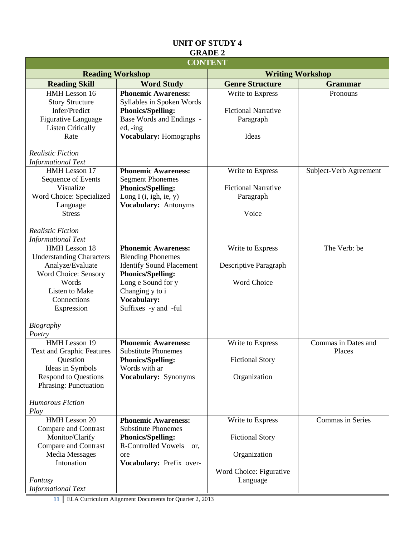|                                                      |                                                  | <b>CONTENT</b>                      |                        |  |
|------------------------------------------------------|--------------------------------------------------|-------------------------------------|------------------------|--|
|                                                      | <b>Reading Workshop</b>                          | <b>Writing Workshop</b>             |                        |  |
| <b>Reading Skill</b>                                 | <b>Word Study</b>                                | <b>Genre Structure</b>              | <b>Grammar</b>         |  |
| HMH Lesson 16                                        | <b>Phonemic Awareness:</b>                       | Write to Express                    | Pronouns               |  |
| <b>Story Structure</b>                               | Syllables in Spoken Words                        |                                     |                        |  |
| Infer/Predict                                        | <b>Phonics/Spelling:</b>                         | <b>Fictional Narrative</b>          |                        |  |
| <b>Figurative Language</b>                           | Base Words and Endings -                         | Paragraph                           |                        |  |
| <b>Listen Critically</b><br>Rate                     | ed, -ing                                         | Ideas                               |                        |  |
|                                                      | Vocabulary: Homographs                           |                                     |                        |  |
| <b>Realistic Fiction</b>                             |                                                  |                                     |                        |  |
| <b>Informational Text</b>                            |                                                  |                                     |                        |  |
| HMH Lesson 17                                        | <b>Phonemic Awareness:</b>                       | Write to Express                    | Subject-Verb Agreement |  |
| Sequence of Events                                   | <b>Segment Phonemes</b>                          |                                     |                        |  |
| Visualize                                            | <b>Phonics/Spelling:</b>                         | <b>Fictional Narrative</b>          |                        |  |
| Word Choice: Specialized<br>Language                 | Long I $(i, igh, ie, y)$<br>Vocabulary: Antonyms | Paragraph                           |                        |  |
| <b>Stress</b>                                        |                                                  | Voice                               |                        |  |
|                                                      |                                                  |                                     |                        |  |
| <b>Realistic Fiction</b>                             |                                                  |                                     |                        |  |
| <b>Informational Text</b>                            |                                                  |                                     |                        |  |
| HMH Lesson 18                                        | <b>Phonemic Awareness:</b>                       | Write to Express                    | The Verb: be           |  |
| <b>Understanding Characters</b>                      | <b>Blending Phonemes</b>                         |                                     |                        |  |
| Analyze/Evaluate                                     | <b>Identify Sound Placement</b>                  | Descriptive Paragraph               |                        |  |
| Word Choice: Sensory                                 | <b>Phonics/Spelling:</b>                         |                                     |                        |  |
| Words<br>Listen to Make                              | Long e Sound for y                               | Word Choice                         |                        |  |
| Connections                                          | Changing y to i<br>Vocabulary:                   |                                     |                        |  |
| Expression                                           | Suffixes -y and -ful                             |                                     |                        |  |
|                                                      |                                                  |                                     |                        |  |
| <b>Biography</b>                                     |                                                  |                                     |                        |  |
| Poetry                                               |                                                  |                                     |                        |  |
| HMH Lesson 19                                        | <b>Phonemic Awareness:</b>                       | Write to Express                    | Commas in Dates and    |  |
| <b>Text and Graphic Features</b>                     | <b>Substitute Phonemes</b>                       |                                     | Places                 |  |
| Question                                             | <b>Phonics/Spelling:</b>                         | <b>Fictional Story</b>              |                        |  |
| Ideas in Symbols                                     | Words with ar                                    |                                     |                        |  |
| <b>Respond to Questions</b><br>Phrasing: Punctuation | Vocabulary: Synonyms                             | Organization                        |                        |  |
|                                                      |                                                  |                                     |                        |  |
| <b>Humorous Fiction</b>                              |                                                  |                                     |                        |  |
| Play                                                 |                                                  |                                     |                        |  |
| HMH Lesson 20                                        | <b>Phonemic Awareness:</b>                       | Write to Express                    | Commas in Series       |  |
| Compare and Contrast                                 | <b>Substitute Phonemes</b>                       |                                     |                        |  |
| Monitor/Clarify                                      | <b>Phonics/Spelling:</b>                         | <b>Fictional Story</b>              |                        |  |
| Compare and Contrast                                 | <b>R-Controlled Vowels</b><br>or.                |                                     |                        |  |
| <b>Media Messages</b>                                | ore                                              | Organization                        |                        |  |
| Intonation                                           | Vocabulary: Prefix over-                         |                                     |                        |  |
| Fantasy                                              |                                                  | Word Choice: Figurative<br>Language |                        |  |
| <b>Informational Text</b>                            |                                                  |                                     |                        |  |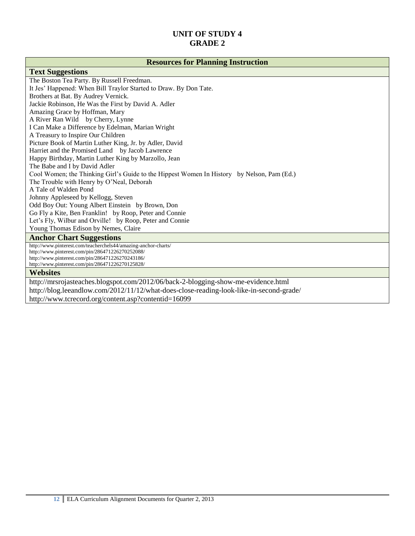#### **Resources for Planning Instruction**

#### **Text Suggestions**

[The Boston Tea Party.](http://www.booklistonline.com/The-Boston-Tea-Party-Russell-Freedman/pid=5537845) By Russell Freedman. [It Jes' Happened: When Bill Traylor Started to Draw.](http://www.booklistonline.com/It-Jes-Happened-When-Bill-Traylor-Started-to-Draw-Don-Tate/pid=5337072) By Don Tate. [Brothers at Bat.](http://www.booklistonline.com/Brothers-at-Bat-Audrey-Vernick/pid=5053764) By Audrey Vernick. Jackie Robinson, He Was the First by David A. Adler Amazing Grace by Hoffman, Mary A River Ran Wild by Cherry, Lynne I Can Make a Difference by Edelman, Marian Wright A Treasury to Inspire Our Children Picture Book of Martin Luther King, Jr. by Adler, David Harriet and the Promised Land by Jacob Lawrence Happy Birthday, Martin Luther King by Marzollo, Jean The Babe and I by David Adler Cool Women; the Thinking Girl's Guide to the Hippest Women In History by Nelson, Pam (Ed.) The Trouble with Henry by O'Neal, Deborah A Tale of Walden Pond Johnny Appleseed by Kellogg, Steven Odd Boy Out: Young Albert Einstein by Brown, Don Go Fly a Kite, Ben Franklin! by Roop, Peter and Connie Let's Fly, Wilbur and Orville! by Roop, Peter and Connie Young Thomas Edison by Nemes, Claire **Anchor Chart Suggestions** http://www.pinterest.com/teacherchels44/amazing-anchor-charts/ http://www.pinterest.com/pin/286471226270252088/ http://www.pinterest.com/pin/286471226270243186/ http://www.pinterest.com/pin/286471226270125828/ **Websites** http://mrsrojasteaches.blogspot.com/2012/06/back-2-blogging-show-me-evidence.html http://blog.leeandlow.com/2012/11/12/what-does-close-reading-look-like-in-second-grade/ http://www.tcrecord.org/content.asp?contentid=16099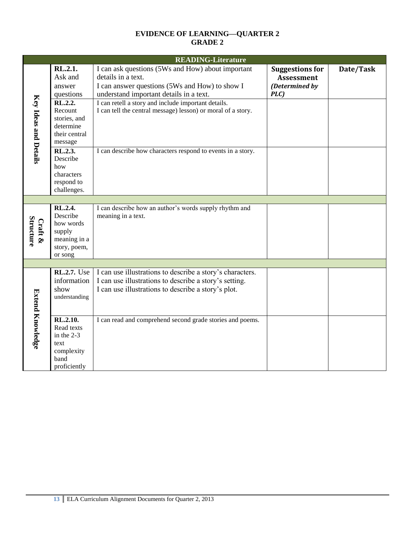#### **EVIDENCE OF LEARNING—QUARTER 2 GRADE 2**

|                             |                                                                                       | <b>READING-Literature</b>                                                                                                                                                  |                                                                       |           |
|-----------------------------|---------------------------------------------------------------------------------------|----------------------------------------------------------------------------------------------------------------------------------------------------------------------------|-----------------------------------------------------------------------|-----------|
|                             | RL.2.1.<br>Ask and<br>answer<br>questions                                             | I can ask questions (5Ws and How) about important<br>details in a text.<br>I can answer questions (5Ws and How) to show I<br>understand important details in a text.       | <b>Suggestions for</b><br><b>Assessment</b><br>(Determined by<br>PLC) | Date/Task |
| Key Ideas and Details       | RL.2.2.<br>Recount<br>stories, and<br>determine<br>their central<br>message           | I can retell a story and include important details.<br>I can tell the central message) lesson) or moral of a story.                                                        |                                                                       |           |
|                             | RL.2.3.<br>Describe<br>how<br>characters<br>respond to<br>challenges.                 | I can describe how characters respond to events in a story.                                                                                                                |                                                                       |           |
|                             |                                                                                       |                                                                                                                                                                            |                                                                       |           |
| <b>Structure</b><br>Craft & | RL.2.4.<br>Describe<br>how words<br>supply<br>meaning in a<br>story, poem,<br>or song | I can describe how an author's words supply rhythm and<br>meaning in a text.                                                                                               |                                                                       |           |
|                             |                                                                                       |                                                                                                                                                                            |                                                                       |           |
|                             | RL.2.7. Use<br>information<br>show<br>understanding                                   | I can use illustrations to describe a story's characters.<br>I can use illustrations to describe a story's setting.<br>I can use illustrations to describe a story's plot. |                                                                       |           |
| <b>Extend Knowledge</b>     | RL.2.10.<br>Read texts<br>in the 2-3<br>text<br>complexity<br>band<br>proficiently    | I can read and comprehend second grade stories and poems.                                                                                                                  |                                                                       |           |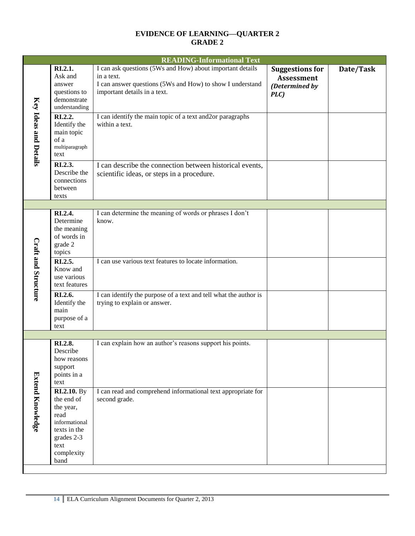#### **EVIDENCE OF LEARNING—QUARTER 2 GRADE 2**

|                            | <b>READING-Informational Text</b>                                                                                                                                                         |                                                                                                                                                                                                                                                      |                                                                       |           |  |  |
|----------------------------|-------------------------------------------------------------------------------------------------------------------------------------------------------------------------------------------|------------------------------------------------------------------------------------------------------------------------------------------------------------------------------------------------------------------------------------------------------|-----------------------------------------------------------------------|-----------|--|--|
| Key Ideas and Details      | RI.2.1.<br>Ask and<br>answer<br>questions to<br>demonstrate<br>understanding<br>RI.2.2.<br>Identify the<br>main topic<br>of a                                                             | I can ask questions (5Ws and How) about important details<br>in a text.<br>I can answer questions (5Ws and How) to show I understand<br>important details in a text.<br>I can identify the main topic of a text and 2or paragraphs<br>within a text. | <b>Suggestions for</b><br><b>Assessment</b><br>(Determined by<br>PLC) | Date/Task |  |  |
|                            | multiparagraph<br>text<br>RI.2.3.<br>Describe the<br>connections<br>between<br>texts                                                                                                      | I can describe the connection between historical events,<br>scientific ideas, or steps in a procedure.                                                                                                                                               |                                                                       |           |  |  |
|                            |                                                                                                                                                                                           |                                                                                                                                                                                                                                                      |                                                                       |           |  |  |
| <b>Craft and Structure</b> | RI.2.4.<br>Determine<br>the meaning<br>of words in<br>grade 2<br>topics<br>RI.2.5.<br>Know and<br>use various<br>text features<br>RI.2.6.<br>Identify the<br>main<br>purpose of a<br>text | I can determine the meaning of words or phrases I don't<br>know.<br>I can use various text features to locate information.<br>I can identify the purpose of a text and tell what the author is<br>trying to explain or answer.                       |                                                                       |           |  |  |
|                            |                                                                                                                                                                                           |                                                                                                                                                                                                                                                      |                                                                       |           |  |  |
|                            | RI.2.8.<br>Describe<br>how reasons<br>support<br>points in a<br>text<br><b>RI.2.10.</b> By                                                                                                | I can explain how an author's reasons support his points.<br>I can read and comprehend informational text appropriate for                                                                                                                            |                                                                       |           |  |  |
| <b>Extend Knowledge</b>    | the end of<br>the year,<br>read<br>informational<br>texts in the<br>grades 2-3<br>text<br>complexity<br>band                                                                              | second grade.                                                                                                                                                                                                                                        |                                                                       |           |  |  |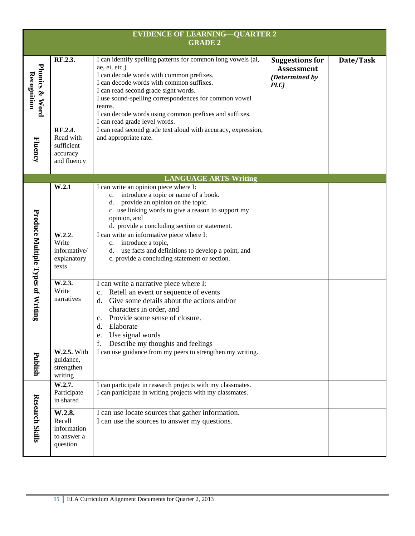| <b>EVIDENCE OF LEARNING-QUARTER 2</b><br><b>GRADE 2</b> |                                                               |                                                                                                                                                                                                                                                                                                                                                                             |                                                                       |           |  |  |  |  |
|---------------------------------------------------------|---------------------------------------------------------------|-----------------------------------------------------------------------------------------------------------------------------------------------------------------------------------------------------------------------------------------------------------------------------------------------------------------------------------------------------------------------------|-----------------------------------------------------------------------|-----------|--|--|--|--|
| <b>Phonics &amp; Word</b><br>Recognition                | RF.2.3.                                                       | I can identify spelling patterns for common long vowels (ai,<br>ae, ei, etc.)<br>I can decode words with common prefixes.<br>I can decode words with common suffixes.<br>I can read second grade sight words.<br>I use sound-spelling correspondences for common vowel<br>teams.<br>I can decode words using common prefixes and suffixes.<br>I can read grade level words. | <b>Suggestions for</b><br><b>Assessment</b><br>(Determined by<br>PLC) | Date/Task |  |  |  |  |
| Fluency                                                 | RF.2.4.<br>Read with<br>sufficient<br>accuracy<br>and fluency | I can read second grade text aloud with accuracy, expression,<br>and appropriate rate.                                                                                                                                                                                                                                                                                      |                                                                       |           |  |  |  |  |
|                                                         | <b>LANGUAGE ARTS-Writing</b>                                  |                                                                                                                                                                                                                                                                                                                                                                             |                                                                       |           |  |  |  |  |
| Produce Multiple Types of Writing                       | W.2.1<br>W.2.2.                                               | I can write an opinion piece where I:<br>introduce a topic or name of a book.<br>$c_{\cdot}$<br>provide an opinion on the topic.<br>d.<br>c. use linking words to give a reason to support my<br>opinion, and<br>d. provide a concluding section or statement.<br>I can write an informative piece where I:                                                                 |                                                                       |           |  |  |  |  |
|                                                         | Write<br>informative/<br>explanatory<br>texts                 | c. introduce a topic,<br>use facts and definitions to develop a point, and<br>d.<br>c. provide a concluding statement or section.                                                                                                                                                                                                                                           |                                                                       |           |  |  |  |  |
|                                                         | W.2.3.<br>Write<br>narratives                                 | I can write a narrative piece where I:<br>Retell an event or sequence of events<br>c.<br>Give some details about the actions and/or<br>$d_{-}$<br>characters in order, and<br>Provide some sense of closure.<br>c.<br>Elaborate<br>d.<br>Use signal words<br>e.<br>f.<br>Describe my thoughts and feelings                                                                  |                                                                       |           |  |  |  |  |
| Publish                                                 | W.2.5. With<br>guidance,<br>strengthen<br>writing             | I can use guidance from my peers to strengthen my writing.                                                                                                                                                                                                                                                                                                                  |                                                                       |           |  |  |  |  |
| <b>Research Skills</b>                                  | W.2.7.<br>Participate<br>in shared                            | I can participate in research projects with my classmates.<br>I can participate in writing projects with my classmates.                                                                                                                                                                                                                                                     |                                                                       |           |  |  |  |  |
|                                                         | W.2.8.<br>Recall<br>information<br>to answer a<br>question    | I can use locate sources that gather information.<br>I can use the sources to answer my questions.                                                                                                                                                                                                                                                                          |                                                                       |           |  |  |  |  |